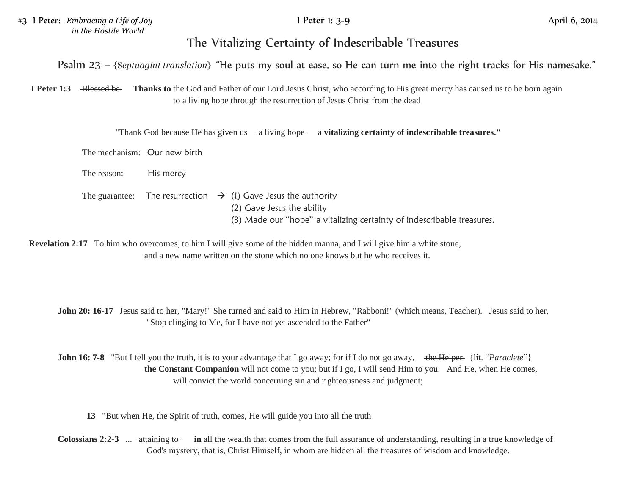#3 I Peter: *Embracing a Life of Joy* I Peter 1: 3-9 April 6, 2014 *in the Hostile World*

## The Vitalizing Certainty of Indescribable Treasures

Psalm 23 – {S*eptuagint translation*} "He puts my soul at ease, so He can turn me into the right tracks for His namesake."

**I Peter 1:3** Blessed be Thanks to the God and Father of our Lord Jesus Christ, who according to His great mercy has caused us to be born again to a living hope through the resurrection of Jesus Christ from the dead

"Thank God because He has given us a living hope a **vitalizing certainty of indescribable treasures."** 

The mechanism: Our new birth

The reason: His mercy

The guarantee: The resurrection  $\rightarrow$  (1) Gave Jesus the authority (2) Gave Jesus the ability (3) Made our "hope" a vitalizing certainty of indescribable treasures.

**Revelation 2:17** To him who overcomes, to him I will give some of the hidden manna, and I will give him a white stone, and a new name written on the stone which no one knows but he who receives it.

**John 20: 16-17** Jesus said to her, "Mary!" She turned and said to Him in Hebrew, "Rabboni!" (which means, Teacher). Jesus said to her, "Stop clinging to Me, for I have not yet ascended to the Father"

**John 16: 7-8** "But I tell you the truth, it is to your advantage that I go away; for if I do not go away, the Helper {lit. "*Paraclete*"} **the Constant Companion** will not come to you; but if I go, I will send Him to you. And He, when He comes, will convict the world concerning sin and righteousness and judgment;

**13** "But when He, the Spirit of truth, comes, He will guide you into all the truth

**Colossians 2:2-3** ... attaining to **in** all the wealth that comes from the full assurance of understanding, resulting in a true knowledge of God's mystery, that is, Christ Himself, in whom are hidden all the treasures of wisdom and knowledge.